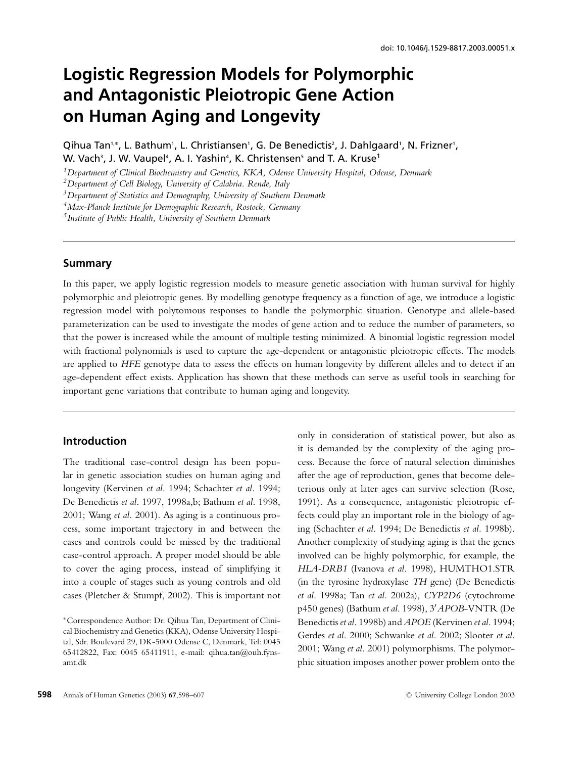# **Logistic Regression Models for Polymorphic and Antagonistic Pleiotropic Gene Action on Human Aging and Longevity**

Qihua Tan™, L. Bathum1, L. Christiansen1, G. De Benedictis<sup>2</sup>, J. Dahlgaard1, N. Frizner1, W. Vach<sup>3</sup>, J. W. Vaupel<sup>4</sup>, A. I. Yashin<sup>4</sup>, K. Christensen<sup>5</sup> and T. A. Kruse<sup>1</sup>

*1Department of Clinical Biochemistry and Genetics, KKA, Odense University Hospital, Odense, Denmark*

*2Department of Cell Biology, University of Calabria. Rende, Italy*

*3Department of Statistics and Demography, University of Southern Denmark*

*4Max-Planck Institute for Demographic Research, Rostock, Germany*

#### **Summary**

In this paper, we apply logistic regression models to measure genetic association with human survival for highly polymorphic and pleiotropic genes. By modelling genotype frequency as a function of age, we introduce a logistic regression model with polytomous responses to handle the polymorphic situation. Genotype and allele-based parameterization can be used to investigate the modes of gene action and to reduce the number of parameters, so that the power is increased while the amount of multiple testing minimized. A binomial logistic regression model with fractional polynomials is used to capture the age-dependent or antagonistic pleiotropic effects. The models are applied to *HFE* genotype data to assess the effects on human longevity by different alleles and to detect if an age-dependent effect exists. Application has shown that these methods can serve as useful tools in searching for important gene variations that contribute to human aging and longevity.

# **Introduction**

The traditional case-control design has been popular in genetic association studies on human aging and longevity (Kervinen *et al*. 1994; Schachter *et al*. 1994; De Benedictis *et al*. 1997, 1998a,b; Bathum *et al*. 1998, 2001; Wang *et al*. 2001). As aging is a continuous process, some important trajectory in and between the cases and controls could be missed by the traditional case-control approach. A proper model should be able to cover the aging process, instead of simplifying it into a couple of stages such as young controls and old cases (Pletcher & Stumpf, 2002). This is important not

only in consideration of statistical power, but also as it is demanded by the complexity of the aging process. Because the force of natural selection diminishes after the age of reproduction, genes that become deleterious only at later ages can survive selection (Rose, 1991). As a consequence, antagonistic pleiotropic effects could play an important role in the biology of aging (Schachter *et al*. 1994; De Benedictis *et al.* 1998b). Another complexity of studying aging is that the genes involved can be highly polymorphic, for example, the *HLA-DRB1* (Ivanova *et al*. 1998), HUMTHO1.STR (in the tyrosine hydroxylase *TH* gene) (De Benedictis *et al*. 1998a; Tan *et al.* 2002a), *CYP2D6* (cytochrome p450 genes) (Bathum et al. 1998), 3' APOB-VNTR (De Benedictis*et al*. 1998b) and*APOE* (Kervinen *et al*. 1994; Gerdes *et al*. 2000; Schwanke *et al*. 2002; Slooter *et al*. 2001; Wang *et al*. 2001) polymorphisms. The polymorphic situation imposes another power problem onto the

*<sup>5</sup>Institute of Public Health, University of Southern Denmark*

<sup>∗</sup>Correspondence Author: Dr. Qihua Tan, Department of Clinical Biochemistry and Genetics (KKA), Odense University Hospital, Sdr. Boulevard 29, DK-5000 Odense C, Denmark, Tel: 0045 65412822, Fax: 0045 65411911, e-mail: qihua.tan@ouh.fynsamt.dk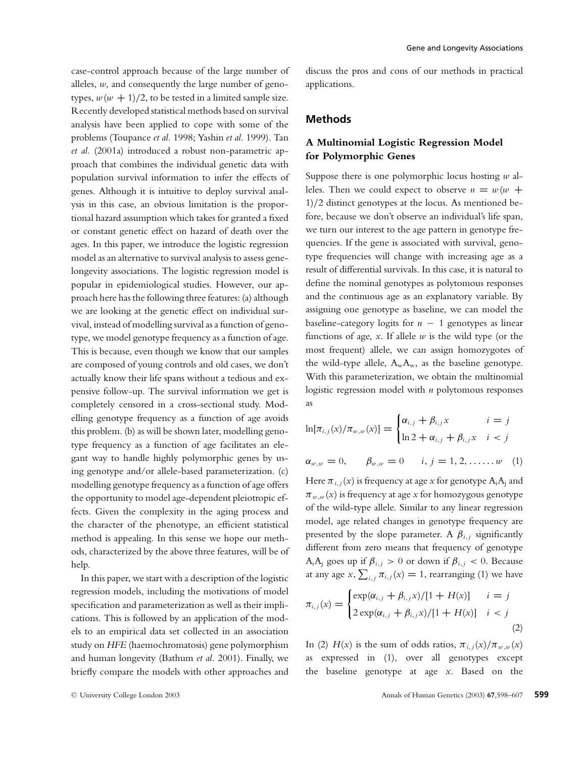case-control approach because of the large number of alleles, *w*, and consequently the large number of genotypes,  $w(w + 1)/2$ , to be tested in a limited sample size. Recently developed statistical methods based on survival analysis have been applied to cope with some of the problems (Toupance *et al.* 1998; Yashin *et al.* 1999). Tan *et al.* (2001a) introduced a robust non-parametric approach that combines the individual genetic data with population survival information to infer the effects of genes. Although it is intuitive to deploy survival analysis in this case, an obvious limitation is the proportional hazard assumption which takes for granted a fixed or constant genetic effect on hazard of death over the ages. In this paper, we introduce the logistic regression model as an alternative to survival analysis to assess genelongevity associations. The logistic regression model is popular in epidemiological studies. However, our approach here has the following three features: (a) although we are looking at the genetic effect on individual survival, instead of modelling survival as a function of genotype, we model genotype frequency as a function of age. This is because, even though we know that our samples are composed of young controls and old cases, we don't actually know their life spans without a tedious and expensive follow-up. The survival information we get is completely censored in a cross-sectional study. Modelling genotype frequency as a function of age avoids this problem. (b) as will be shown later, modelling genotype frequency as a function of age facilitates an elegant way to handle highly polymorphic genes by using genotype and/or allele-based parameterization. (c) modelling genotype frequency as a function of age offers the opportunity to model age-dependent pleiotropic effects. Given the complexity in the aging process and the character of the phenotype, an efficient statistical method is appealing. In this sense we hope our methods, characterized by the above three features, will be of help.

In this paper, we start with a description of the logistic regression models, including the motivations of model specification and parameterization as well as their implications. This is followed by an application of the models to an empirical data set collected in an association study on *HFE* (haemochromatosis) gene polymorphism and human longevity (Bathum *et al*. 2001). Finally, we briefly compare the models with other approaches and discuss the pros and cons of our methods in practical applications.

#### **Methods**

# **A Multinomial Logistic Regression Model for Polymorphic Genes**

Suppose there is one polymorphic locus hosting *w* alleles. Then we could expect to observe  $n = w(w +$ 1)/2 distinct genotypes at the locus. As mentioned before, because we don't observe an individual's life span, we turn our interest to the age pattern in genotype frequencies. If the gene is associated with survival, genotype frequencies will change with increasing age as a result of differential survivals. In this case, it is natural to define the nominal genotypes as polytomous responses and the continuous age as an explanatory variable. By assigning one genotype as baseline, we can model the baseline-category logits for  $n - 1$  genotypes as linear functions of age, *x*. If allele *w* is the wild type (or the most frequent) allele, we can assign homozygotes of the wild-type allele,  $A_wA_w$ , as the baseline genotype. With this parameterization, we obtain the multinomial logistic regression model with *n* polytomous responses as

$$
\ln[\pi_{i,j}(x)/\pi_{w,w}(x)] = \begin{cases} \alpha_{i,j} + \beta_{i,j}x & i = j \\ \ln 2 + \alpha_{i,j} + \beta_{i,j}x & i < j \end{cases}
$$

$$
\alpha_{w,w} = 0, \qquad \beta_{w,w} = 0 \qquad i, j = 1, 2, \ldots \ldots w \quad (1)
$$

Here  $\pi_{i,j}(x)$  is frequency at age *x* for genotype  $A_iA_j$  and  $\pi_{w,w}(x)$  is frequency at age *x* for homozygous genotype of the wild-type allele. Similar to any linear regression model, age related changes in genotype frequency are presented by the slope parameter. A  $\beta_{i,j}$  significantly different from zero means that frequency of genotype  $A_iA_j$  goes up if  $\beta_{i,j} > 0$  or down if  $\beta_{i,j} < 0$ . Because at any age  $x$ ,  $\sum_{i,j}\pi_{i,j}(x) = 1$ , rearranging (1) we have

$$
\pi_{i,j}(x) = \begin{cases} \exp(\alpha_{i,j} + \beta_{i,j} x)/[1 + H(x)] & i = j \\ 2 \exp(\alpha_{i,j} + \beta_{i,j} x)/[1 + H(x)] & i < j \end{cases} \tag{2}
$$

In (2)  $H(x)$  is the sum of odds ratios,  $\pi_{i,j}(x)/\pi_{w,w}(x)$ as expressed in (1), over all genotypes except the baseline genotype at age *x*. Based on the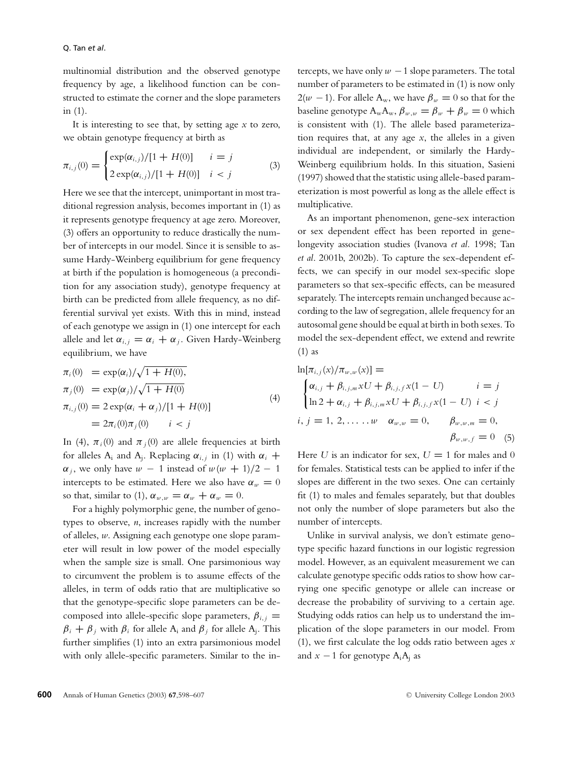multinomial distribution and the observed genotype frequency by age, a likelihood function can be constructed to estimate the corner and the slope parameters in (1).

It is interesting to see that, by setting age *x* to zero, we obtain genotype frequency at birth as

$$
\pi_{i,j}(0) = \begin{cases} \exp(\alpha_{i,j})/[1 + H(0)] & i = j \\ 2\exp(\alpha_{i,j})/[1 + H(0)] & i < j \end{cases} \tag{3}
$$

Here we see that the intercept, unimportant in most traditional regression analysis, becomes important in (1) as it represents genotype frequency at age zero. Moreover, (3) offers an opportunity to reduce drastically the number of intercepts in our model. Since it is sensible to assume Hardy-Weinberg equilibrium for gene frequency at birth if the population is homogeneous (a precondition for any association study), genotype frequency at birth can be predicted from allele frequency, as no differential survival yet exists. With this in mind, instead of each genotype we assign in (1) one intercept for each allele and let  $\alpha_{i,j} = \alpha_i + \alpha_j$ . Given Hardy-Weinberg equilibrium, we have

$$
\pi_i(0) = \exp(\alpha_i)/\sqrt{1 + H(0)},
$$
  
\n
$$
\pi_j(0) = \exp(\alpha_j)/\sqrt{1 + H(0)},
$$
  
\n
$$
\pi_{i,j}(0) = 2 \exp(\alpha_i + \alpha_j)/[1 + H(0)]
$$
  
\n
$$
= 2\pi_i(0)\pi_j(0) \quad i < j
$$
\n(4)

In (4),  $\pi_i(0)$  and  $\pi_i(0)$  are allele frequencies at birth for alleles A<sub>i</sub> and A<sub>i</sub>. Replacing  $\alpha_{i,j}$  in (1) with  $\alpha_i$  +  $\alpha_j$ , we only have  $w - 1$  instead of  $w(w + 1)/2 - 1$ intercepts to be estimated. Here we also have  $\alpha_w = 0$ so that, similar to (1),  $\alpha_{w,w} = \alpha_w + \alpha_w = 0$ .

For a highly polymorphic gene, the number of genotypes to observe, *n*, increases rapidly with the number of alleles, *w*. Assigning each genotype one slope parameter will result in low power of the model especially when the sample size is small. One parsimonious way to circumvent the problem is to assume effects of the alleles, in term of odds ratio that are multiplicative so that the genotype-specific slope parameters can be decomposed into allele-specific slope parameters,  $\beta_{i,j}$  =  $\beta_i + \beta_j$  with  $\beta_i$  for allele A<sub>i</sub> and  $\beta_j$  for allele A<sub>j</sub>. This further simplifies (1) into an extra parsimonious model with only allele-specific parameters. Similar to the intercepts, we have only  $w - 1$  slope parameters. The total number of parameters to be estimated in (1) is now only  $2(w - 1)$ . For allele A<sub>w</sub>, we have  $\beta_w = 0$  so that for the baseline genotype  $A_wA_w$ ,  $\beta_{w,w} = \beta_w + \beta_w = 0$  which is consistent with (1). The allele based parameterization requires that, at any age *x*, the alleles in a given individual are independent, or similarly the Hardy-Weinberg equilibrium holds. In this situation, Sasieni (1997) showed that the statistic using allele-based parameterization is most powerful as long as the allele effect is multiplicative.

As an important phenomenon, gene-sex interaction or sex dependent effect has been reported in genelongevity association studies (Ivanova *et al.* 1998; Tan *et al*. 2001b, 2002b). To capture the sex-dependent effects, we can specify in our model sex-specific slope parameters so that sex-specific effects, can be measured separately. The intercepts remain unchanged because according to the law of segregation, allele frequency for an autosomal gene should be equal at birth in both sexes. To model the sex-dependent effect, we extend and rewrite (1) as

$$
\ln[\pi_{i,j}(x)/\pi_{w,w}(x)] =
$$
\n
$$
\begin{cases}\n\alpha_{i,j} + \beta_{i,j,m} xU + \beta_{i,j,f} x(1 - U) & i = j \\
\ln 2 + \alpha_{i,j} + \beta_{i,j,m} xU + \beta_{i,j,f} x(1 - U) & i < j \\
i, j = 1, 2, ..., w & \alpha_{w,w} = 0, \qquad \beta_{w,w,m} = 0, \\
\beta_{w,w,f} = 0 & (5)\n\end{cases}
$$

Here *U* is an indicator for sex,  $U = 1$  for males and 0 for females. Statistical tests can be applied to infer if the slopes are different in the two sexes. One can certainly fit (1) to males and females separately, but that doubles not only the number of slope parameters but also the number of intercepts.

Unlike in survival analysis, we don't estimate genotype specific hazard functions in our logistic regression model. However, as an equivalent measurement we can calculate genotype specific odds ratios to show how carrying one specific genotype or allele can increase or decrease the probability of surviving to a certain age. Studying odds ratios can help us to understand the implication of the slope parameters in our model. From (1), we first calculate the log odds ratio between ages *x* and  $x - 1$  for genotype  $A_iA_j$  as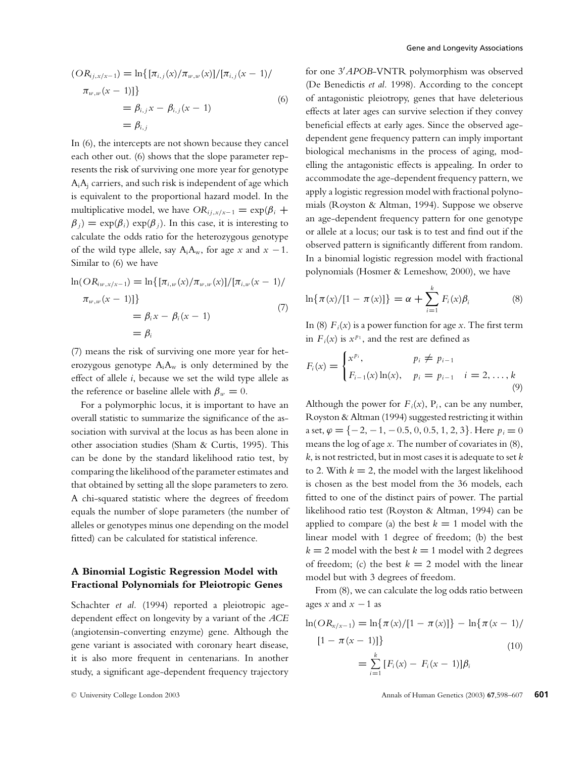$$
(OR_{i j, x/x-1}) = \ln\{[\pi_{i,j}(x)/\pi_{w,w}(x)]/[\pi_{i,j}(x-1)/
$$
  

$$
\pi_{w,w}(x-1)]\}
$$
  

$$
= \beta_{i,j}x - \beta_{i,j}(x-1)
$$
  

$$
= \beta_{i,j}
$$
 (6)

In (6), the intercepts are not shown because they cancel each other out. (6) shows that the slope parameter represents the risk of surviving one more year for genotype  $A_iA_i$  carriers, and such risk is independent of age which is equivalent to the proportional hazard model. In the multiplicative model, we have  $OR_{i,j,x/x-1} = \exp(\beta_i + \beta_j)$  $\beta_i$  = exp( $\beta_i$ ) exp( $\beta_i$ ). In this case, it is interesting to calculate the odds ratio for the heterozygous genotype of the wild type allele, say  $A_iA_w$ , for age *x* and  $x - 1$ . Similar to (6) we have

$$
\ln(OR_{iw,x/x-1}) = \ln\{[\pi_{i,w}(x)/\pi_{w,w}(x)]/[\pi_{i,w}(x-1)/
$$
  
\n
$$
\pi_{w,w}(x-1)]\}
$$
  
\n
$$
= \beta_i x - \beta_i (x - 1)
$$
  
\n
$$
= \beta_i
$$
\n(7)

(7) means the risk of surviving one more year for heterozygous genotype  $A_iA_w$  is only determined by the effect of allele *i*, because we set the wild type allele as the reference or baseline allele with  $\beta_w = 0$ .

For a polymorphic locus, it is important to have an overall statistic to summarize the significance of the association with survival at the locus as has been alone in other association studies (Sham & Curtis, 1995). This can be done by the standard likelihood ratio test, by comparing the likelihood of the parameter estimates and that obtained by setting all the slope parameters to zero. A chi-squared statistic where the degrees of freedom equals the number of slope parameters (the number of alleles or genotypes minus one depending on the model fitted) can be calculated for statistical inference.

# **A Binomial Logistic Regression Model with Fractional Polynomials for Pleiotropic Genes**

Schachter *et al.* (1994) reported a pleiotropic agedependent effect on longevity by a variant of the *ACE* (angiotensin-converting enzyme) gene. Although the gene variant is associated with coronary heart disease, it is also more frequent in centenarians. In another study, a significant age-dependent frequency trajectory

for one 3'APOB-VNTR polymorphism was observed (De Benedictis *et al.* 1998). According to the concept of antagonistic pleiotropy, genes that have deleterious effects at later ages can survive selection if they convey beneficial effects at early ages. Since the observed agedependent gene frequency pattern can imply important biological mechanisms in the process of aging, modelling the antagonistic effects is appealing. In order to accommodate the age-dependent frequency pattern, we apply a logistic regression model with fractional polynomials (Royston & Altman, 1994). Suppose we observe an age-dependent frequency pattern for one genotype or allele at a locus; our task is to test and find out if the observed pattern is significantly different from random. In a binomial logistic regression model with fractional polynomials (Hosmer & Lemeshow, 2000), we have

$$
\ln\{\pi(x)/[1-\pi(x)]\} = \alpha + \sum_{i=1}^{k} F_i(x)\beta_i
$$
 (8)

In (8)  $F_i(x)$  is a power function for age *x*. The first term in  $F_i(x)$  is  $x^{p_i}$ , and the rest are defined as

$$
F_i(x) = \begin{cases} x^{p_i}, & p_i \neq p_{i-1} \\ F_{i-1}(x) \ln(x), & p_i = p_{i-1} \quad i = 2, \dots, k \\ (9) \end{cases}
$$

Although the power for  $F_i(x)$ ,  $P_i$ , can be any number, Royston & Altman (1994) suggested restricting it within a set,  $\varphi = \{-2, -1, -0.5, 0, 0.5, 1, 2, 3\}$ . Here  $p_i = 0$ means the log of age *x*. The number of covariates in (8), *k*, is not restricted, but in most cases it is adequate to set *k* to 2. With  $k = 2$ , the model with the largest likelihood is chosen as the best model from the 36 models, each fitted to one of the distinct pairs of power. The partial likelihood ratio test (Royston & Altman, 1994) can be applied to compare (a) the best  $k = 1$  model with the linear model with 1 degree of freedom; (b) the best  $k = 2$  model with the best  $k = 1$  model with 2 degrees of freedom; (c) the best  $k = 2$  model with the linear model but with 3 degrees of freedom.

From (8), we can calculate the log odds ratio between ages  $x$  and  $x - 1$  as

$$
\ln(OR_{x/x-1}) = \ln{\pi(x)/[1 - \pi(x)]} - \ln{\pi(x - 1)/[1 - \pi(x - 1)]}
$$
\n
$$
= \sum_{i=1}^{k} [F_i(x) - F_i(x - 1)]\beta_i
$$
\n(10)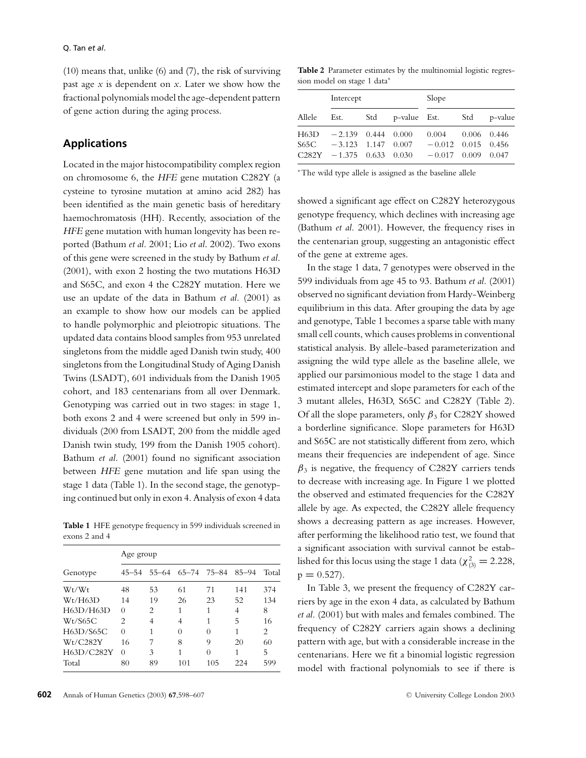(10) means that, unlike (6) and (7), the risk of surviving past age *x* is dependent on *x*. Later we show how the fractional polynomials model the age-dependent pattern of gene action during the aging process.

# **Applications**

Located in the major histocompatibility complex region on chromosome 6, the *HFE* gene mutation C282Y (a cysteine to tyrosine mutation at amino acid 282) has been identified as the main genetic basis of hereditary haemochromatosis (HH). Recently, association of the *HFE* gene mutation with human longevity has been reported (Bathum *et al.* 2001; Lio *et al*. 2002). Two exons of this gene were screened in the study by Bathum *et al.* (2001), with exon 2 hosting the two mutations H63D and S65C, and exon 4 the C282Y mutation. Here we use an update of the data in Bathum *et al.* (2001) as an example to show how our models can be applied to handle polymorphic and pleiotropic situations. The updated data contains blood samples from 953 unrelated singletons from the middle aged Danish twin study, 400 singletons from the Longitudinal Study of Aging Danish Twins (LSADT), 601 individuals from the Danish 1905 cohort, and 183 centenarians from all over Denmark. Genotyping was carried out in two stages: in stage 1, both exons 2 and 4 were screened but only in 599 individuals (200 from LSADT, 200 from the middle aged Danish twin study, 199 from the Danish 1905 cohort). Bathum *et al.* (2001) found no significant association between *HFE* gene mutation and life span using the stage 1 data (Table 1). In the second stage, the genotyping continued but only in exon 4. Analysis of exon 4 data

**Table 1** HFE genotype frequency in 599 individuals screened in exons 2 and 4

|            | Age group |                |           |           |           |       |  |
|------------|-----------|----------------|-----------|-----------|-----------|-------|--|
| Genotype   | $45 - 54$ | $55 - 64$      | $65 - 74$ | $75 - 84$ | $85 - 94$ | Total |  |
| Wt/Wt      | 48        | 53             | 61        | 71        | 141       | 374   |  |
| Wt/H63D    | 14        | 19             | 26        | 23        | 52        | 134   |  |
| H63D/H63D  | $\Omega$  | $\overline{c}$ | 1         | 1         | 4         | 8     |  |
| Wt/S65C    | 2         | 4              | 4         |           | 5         | 16    |  |
| H63D/S65C  | 0         | 1              | 0         | 0         | 1         | 2     |  |
| Wt/C282Y   | 16        | 7              | 8         | 9         | 20        | 60    |  |
| H63D/C282Y | $\Omega$  | 3              | 1         | $\Omega$  | 1         | 5     |  |
| Total      | 80        | 89             | 101       | 105       | 224       | 599   |  |

|        | Intercept                                    |     |              | Slope                            |               |               |
|--------|----------------------------------------------|-----|--------------|----------------------------------|---------------|---------------|
| Allele | Est.                                         | Std | p-value Est. |                                  | Std           | p-value       |
| H63D   | $-2.139$ 0.444 0.000                         |     |              | 0.004                            | $0.006$ 0.446 |               |
| S65C   | $-3.123$ 1.147<br>$C282Y -1.375 0.633 0.030$ |     | 0.007        | $-0.012$ 0.015 0.456<br>$-0.017$ |               | $0.009$ 0.047 |

<sup>∗</sup>The wild type allele is assigned as the baseline allele

showed a significant age effect on C282Y heterozygous genotype frequency, which declines with increasing age (Bathum *et al.* 2001). However, the frequency rises in the centenarian group, suggesting an antagonistic effect of the gene at extreme ages.

In the stage 1 data, 7 genotypes were observed in the 599 individuals from age 45 to 93. Bathum *et al.* (2001) observed no significant deviation from Hardy-Weinberg equilibrium in this data. After grouping the data by age and genotype, Table 1 becomes a sparse table with many small cell counts, which causes problems in conventional statistical analysis. By allele-based parameterization and assigning the wild type allele as the baseline allele, we applied our parsimonious model to the stage 1 data and estimated intercept and slope parameters for each of the 3 mutant alleles, H63D, S65C and C282Y (Table 2). Of all the slope parameters, only  $\beta_3$  for C282Y showed a borderline significance. Slope parameters for H63D and S65C are not statistically different from zero, which means their frequencies are independent of age. Since  $\beta_3$  is negative, the frequency of C282Y carriers tends to decrease with increasing age. In Figure 1 we plotted the observed and estimated frequencies for the C282Y allele by age. As expected, the C282Y allele frequency shows a decreasing pattern as age increases. However, after performing the likelihood ratio test, we found that a significant association with survival cannot be established for this locus using the stage 1 data ( $\chi^2_{(3)} = 2.228$ ,  $p = 0.527$ .

In Table 3, we present the frequency of C282Y carriers by age in the exon 4 data, as calculated by Bathum *et al.* (2001) but with males and females combined. The frequency of C282Y carriers again shows a declining pattern with age, but with a considerable increase in the centenarians. Here we fit a binomial logistic regression model with fractional polynomials to see if there is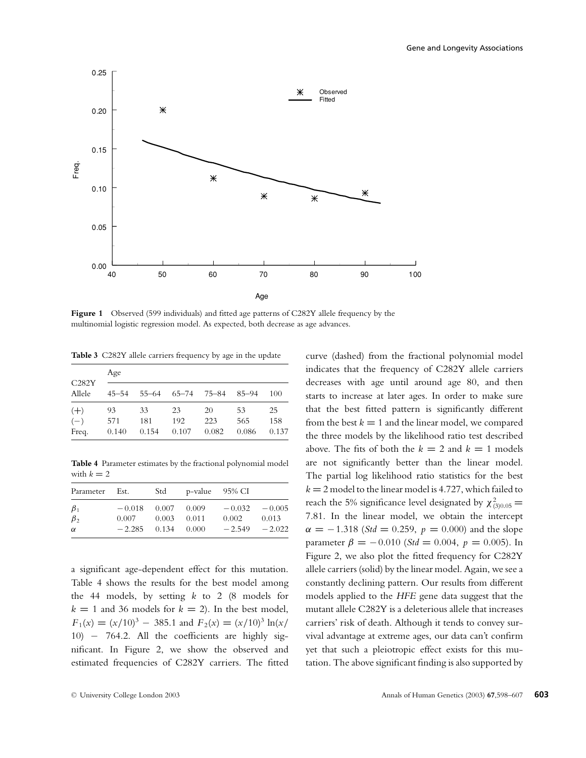

**Figure 1** Observed (599 individuals) and fitted age patterns of C282Y allele frequency by the multinomial logistic regression model. As expected, both decrease as age advances.

**Table 3** C282Y allele carriers frequency by age in the update

| C282Y          | Age       |           |           |           |           |           |  |  |
|----------------|-----------|-----------|-----------|-----------|-----------|-----------|--|--|
| Allele         | $45 - 54$ | 55–64     | 65–74     | 75–84     | $85 - 94$ | 100       |  |  |
| $(+)$<br>$(-)$ | 93<br>571 | 33<br>181 | 23<br>192 | 20<br>223 | 53<br>565 | 25<br>158 |  |  |
| Freq.          | 0.140     | 0.154     | 0.107     | 0.082     | 0.086     | 0.137     |  |  |

**Table 4** Parameter estimates by the fractional polynomial model with  $k = 2$ 

| Parameter                          | Est.                                      | Std            |                | p-value 95% CI    |                                       |
|------------------------------------|-------------------------------------------|----------------|----------------|-------------------|---------------------------------------|
| $\beta_1$<br>$\beta_2$<br>$\alpha$ | $-0.018$ 0.007 0.009<br>0.007<br>$-2.285$ | 0.003<br>0.134 | 0.011<br>0.000 | 0.002<br>$-2.549$ | $-0.032 - 0.005$<br>0.013<br>$-2.022$ |

a significant age-dependent effect for this mutation. Table 4 shows the results for the best model among the 44 models, by setting *k* to 2 (8 models for  $k = 1$  and 36 models for  $k = 2$ ). In the best model,  $F_1(x) = (x/10)^3 - 385.1$  and  $F_2(x) = (x/10)^3 \ln(x/10)$ 10) − 764.2. All the coefficients are highly significant. In Figure 2, we show the observed and estimated frequencies of C282Y carriers. The fitted

curve (dashed) from the fractional polynomial model indicates that the frequency of C282Y allele carriers decreases with age until around age 80, and then starts to increase at later ages. In order to make sure that the best fitted pattern is significantly different from the best  $k = 1$  and the linear model, we compared the three models by the likelihood ratio test described above. The fits of both the  $k = 2$  and  $k = 1$  models are not significantly better than the linear model. The partial log likelihood ratio statistics for the best  $k = 2$  model to the linear model is 4.727, which failed to reach the 5% significance level designated by  $\chi^2_{(3)0.05}$  = 7.81. In the linear model, we obtain the intercept  $\alpha = -1.318$  (*Std* = 0.259,  $p = 0.000$ ) and the slope parameter  $\beta = -0.010$  (*Std* = 0.004,  $p = 0.005$ ). In Figure 2, we also plot the fitted frequency for C282Y allele carriers (solid) by the linear model. Again, we see a constantly declining pattern. Our results from different models applied to the *HFE* gene data suggest that the mutant allele C282Y is a deleterious allele that increases carriers' risk of death. Although it tends to convey survival advantage at extreme ages, our data can't confirm yet that such a pleiotropic effect exists for this mutation. The above significant finding is also supported by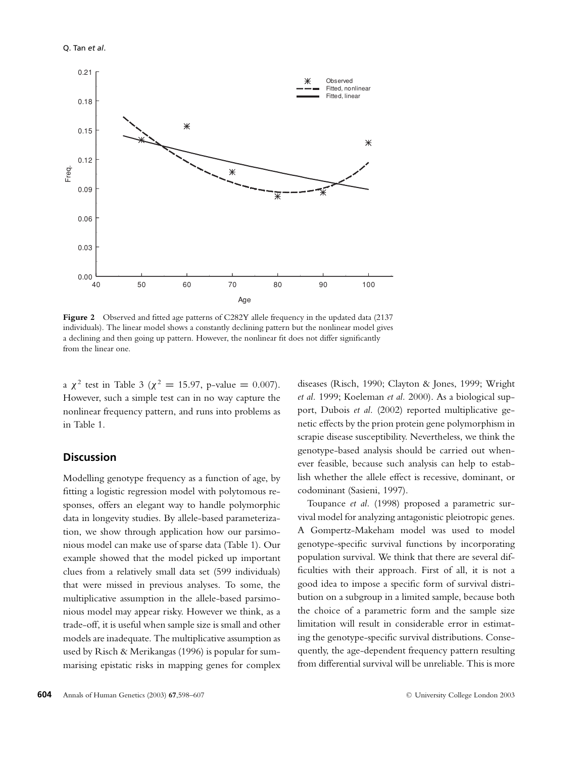

**Figure 2** Observed and fitted age patterns of C282Y allele frequency in the updated data (2137 individuals). The linear model shows a constantly declining pattern but the nonlinear model gives a declining and then going up pattern. However, the nonlinear fit does not differ significantly from the linear one.

a  $\chi^2$  test in Table 3 ( $\chi^2 = 15.97$ , p-value = 0.007). However, such a simple test can in no way capture the nonlinear frequency pattern, and runs into problems as in Table 1.

## **Discussion**

Modelling genotype frequency as a function of age, by fitting a logistic regression model with polytomous responses, offers an elegant way to handle polymorphic data in longevity studies. By allele-based parameterization, we show through application how our parsimonious model can make use of sparse data (Table 1). Our example showed that the model picked up important clues from a relatively small data set (599 individuals) that were missed in previous analyses. To some, the multiplicative assumption in the allele-based parsimonious model may appear risky. However we think, as a trade-off, it is useful when sample size is small and other models are inadequate. The multiplicative assumption as used by Risch & Merikangas (1996) is popular for summarising epistatic risks in mapping genes for complex

diseases (Risch, 1990; Clayton & Jones, 1999; Wright *et al.* 1999; Koeleman *et al.* 2000). As a biological support, Dubois *et al.* (2002) reported multiplicative genetic effects by the prion protein gene polymorphism in scrapie disease susceptibility. Nevertheless, we think the genotype-based analysis should be carried out whenever feasible, because such analysis can help to establish whether the allele effect is recessive, dominant, or codominant (Sasieni, 1997).

Toupance *et al.* (1998) proposed a parametric survival model for analyzing antagonistic pleiotropic genes. A Gompertz-Makeham model was used to model genotype-specific survival functions by incorporating population survival. We think that there are several difficulties with their approach. First of all, it is not a good idea to impose a specific form of survival distribution on a subgroup in a limited sample, because both the choice of a parametric form and the sample size limitation will result in considerable error in estimating the genotype-specific survival distributions. Consequently, the age-dependent frequency pattern resulting from differential survival will be unreliable. This is more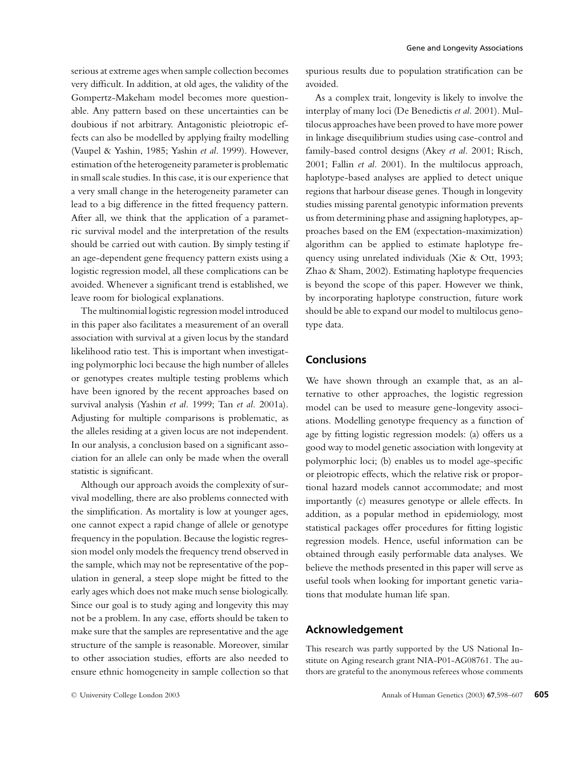serious at extreme ages when sample collection becomes very difficult. In addition, at old ages, the validity of the Gompertz-Makeham model becomes more questionable. Any pattern based on these uncertainties can be doubious if not arbitrary. Antagonistic pleiotropic effects can also be modelled by applying frailty modelling (Vaupel & Yashin, 1985; Yashin *et al*. 1999). However, estimation of the heterogeneity parameter is problematic in small scale studies. In this case, it is our experience that a very small change in the heterogeneity parameter can lead to a big difference in the fitted frequency pattern. After all, we think that the application of a parametric survival model and the interpretation of the results should be carried out with caution. By simply testing if an age-dependent gene frequency pattern exists using a logistic regression model, all these complications can be avoided. Whenever a significant trend is established, we leave room for biological explanations.

The multinomial logistic regression model introduced in this paper also facilitates a measurement of an overall association with survival at a given locus by the standard likelihood ratio test. This is important when investigating polymorphic loci because the high number of alleles or genotypes creates multiple testing problems which have been ignored by the recent approaches based on survival analysis (Yashin *et al.* 1999; Tan *et al.* 2001a). Adjusting for multiple comparisons is problematic, as the alleles residing at a given locus are not independent. In our analysis, a conclusion based on a significant association for an allele can only be made when the overall statistic is significant.

Although our approach avoids the complexity of survival modelling, there are also problems connected with the simplification. As mortality is low at younger ages, one cannot expect a rapid change of allele or genotype frequency in the population. Because the logistic regression model only models the frequency trend observed in the sample, which may not be representative of the population in general, a steep slope might be fitted to the early ages which does not make much sense biologically. Since our goal is to study aging and longevity this may not be a problem. In any case, efforts should be taken to make sure that the samples are representative and the age structure of the sample is reasonable. Moreover, similar to other association studies, efforts are also needed to ensure ethnic homogeneity in sample collection so that spurious results due to population stratification can be avoided.

As a complex trait, longevity is likely to involve the interplay of many loci (De Benedictis *et al.* 2001). Multilocus approaches have been proved to have more power in linkage disequilibrium studies using case-control and family-based control designs (Akey *et al.* 2001; Risch, 2001; Fallin *et al.* 2001). In the multilocus approach, haplotype-based analyses are applied to detect unique regions that harbour disease genes. Though in longevity studies missing parental genotypic information prevents us from determining phase and assigning haplotypes, approaches based on the EM (expectation-maximization) algorithm can be applied to estimate haplotype frequency using unrelated individuals (Xie & Ott, 1993; Zhao & Sham, 2002). Estimating haplotype frequencies is beyond the scope of this paper. However we think, by incorporating haplotype construction, future work should be able to expand our model to multilocus genotype data.

## **Conclusions**

We have shown through an example that, as an alternative to other approaches, the logistic regression model can be used to measure gene-longevity associations. Modelling genotype frequency as a function of age by fitting logistic regression models: (a) offers us a good way to model genetic association with longevity at polymorphic loci; (b) enables us to model age-specific or pleiotropic effects, which the relative risk or proportional hazard models cannot accommodate; and most importantly (c) measures genotype or allele effects. In addition, as a popular method in epidemiology, most statistical packages offer procedures for fitting logistic regression models. Hence, useful information can be obtained through easily performable data analyses. We believe the methods presented in this paper will serve as useful tools when looking for important genetic variations that modulate human life span.

# **Acknowledgement**

This research was partly supported by the US National Institute on Aging research grant NIA-P01-AG08761. The authors are grateful to the anonymous referees whose comments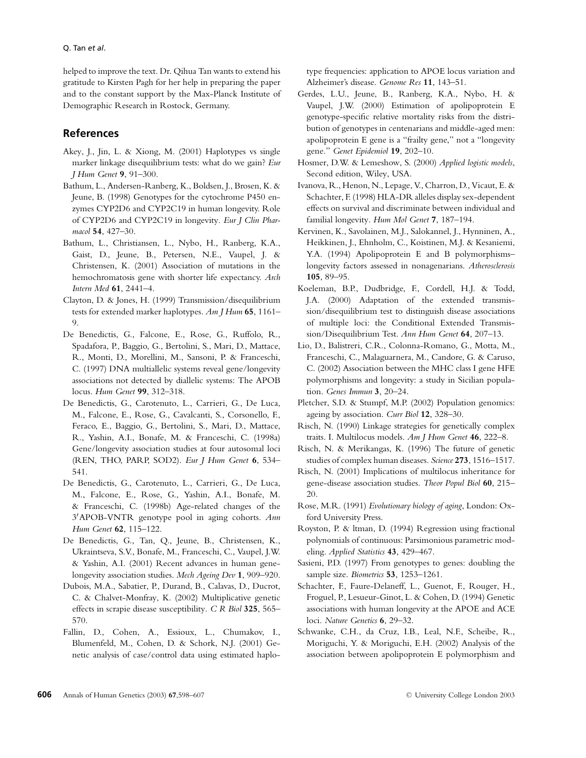helped to improve the text. Dr. Qihua Tan wants to extend his gratitude to Kirsten Pagh for her help in preparing the paper and to the constant support by the Max-Planck Institute of Demographic Research in Rostock, Germany.

### **References**

- Akey, J., Jin, L. & Xiong, M. (2001) Haplotypes vs single marker linkage disequilibrium tests: what do we gain? *Eur J Hum Genet* **9**, 91–300.
- Bathum, L., Andersen-Ranberg, K., Boldsen, J., Brosen, K. & Jeune, B. (1998) Genotypes for the cytochrome P450 enzymes CYP2D6 and CYP2C19 in human longevity. Role of CYP2D6 and CYP2C19 in longevity. *Eur J Clin Pharmacol* **54**, 427–30.
- Bathum, L., Christiansen, L., Nybo, H., Ranberg, K.A., Gaist, D., Jeune, B., Petersen, N.E., Vaupel, J. & Christensen, K. (2001) Association of mutations in the hemochromatosis gene with shorter life expectancy. *Arch Intern Med* **61**, 2441–4.
- Clayton, D. & Jones, H. (1999) Transmission/disequilibrium tests for extended marker haplotypes. *Am J Hum* **65**, 1161– 9.
- De Benedictis, G., Falcone, E., Rose, G., Ruffolo, R., Spadafora, P., Baggio, G., Bertolini, S., Mari, D., Mattace, R., Monti, D., Morellini, M., Sansoni, P. & Franceschi, C. (1997) DNA multiallelic systems reveal gene/longevity associations not detected by diallelic systems: The APOB locus. *Hum Genet* **99**, 312–318.
- De Benedictis, G., Carotenuto, L., Carrieri, G., De Luca, M., Falcone, E., Rose, G., Cavalcanti, S., Corsonello, F., Feraco, E., Baggio, G., Bertolini, S., Mari, D., Mattace, R., Yashin, A.I., Bonafe, M. & Franceschi, C. (1998a) Gene/longevity association studies at four autosomal loci (REN, THO, PARP, SOD2). *Eur J Hum Genet* **6**, 534– 541.
- De Benedictis, G., Carotenuto, L., Carrieri, G., De Luca, M., Falcone, E., Rose, G., Yashin, A.I., Bonafe, M. & Franceschi, C. (1998b) Age-related changes of the 3' APOB-VNTR genotype pool in aging cohorts. Ann *Hum Genet* **62**, 115–122.
- De Benedictis, G., Tan, Q., Jeune, B., Christensen, K., Ukraintseva, S.V., Bonafe, M., Franceschi, C., Vaupel, J.W. & Yashin, A.I. (2001) Recent advances in human genelongevity association studies. *Mech Ageing Dev* **1**, 909–920.
- Dubois, M.A., Sabatier, P., Durand, B., Calavas, D., Ducrot, C. & Chalvet-Monfray, K. (2002) Multiplicative genetic effects in scrapie disease susceptibility. *C R Biol* **325**, 565– 570.
- Fallin, D., Cohen, A., Essioux, L., Chumakov, I., Blumenfeld, M., Cohen, D. & Schork, N.J. (2001) Genetic analysis of case/control data using estimated haplo-

type frequencies: application to APOE locus variation and Alzheimer's disease. *Genome Res* **11**, 143–51.

- Gerdes, L.U., Jeune, B., Ranberg, K.A., Nybo, H. & Vaupel, J.W. (2000) Estimation of apolipoprotein E genotype-specific relative mortality risks from the distribution of genotypes in centenarians and middle-aged men: apolipoprotein E gene is a "frailty gene," not a "longevity gene." *Genet Epidemiol* **19**, 202–10.
- Hosmer, D.W. & Lemeshow, S. (2000) *Applied logistic models*, Second edition, Wiley, USA.
- Ivanova, R., Henon, N., Lepage, V., Charron, D., Vicaut, E. & Schachter, F. (1998) HLA-DR alleles display sex-dependent effects on survival and discriminate between individual and familial longevity. *Hum Mol Genet* **7**, 187–194.
- Kervinen, K., Savolainen, M.J., Salokannel, J., Hynninen, A., Heikkinen, J., Ehnholm, C., Koistinen, M.J. & Kesaniemi, Y.A. (1994) Apolipoprotein E and B polymorphisms– longevity factors assessed in nonagenarians. *Atherosclerosis* **105**, 89–95.
- Koeleman, B.P., Dudbridge, F., Cordell, H.J. & Todd, J.A. (2000) Adaptation of the extended transmission/disequilibrium test to distinguish disease associations of multiple loci: the Conditional Extended Transmission/Disequilibrium Test. *Ann Hum Genet* **64**, 207–13.
- Lio, D., Balistreri, C.R., Colonna-Romano, G., Motta, M., Franceschi, C., Malaguarnera, M., Candore, G. & Caruso, C. (2002) Association between the MHC class I gene HFE polymorphisms and longevity: a study in Sicilian population. *Genes Immun* **3**, 20–24.
- Pletcher, S.D. & Stumpf, M.P. (2002) Population genomics: ageing by association. *Curr Biol* **12**, 328–30.
- Risch, N. (1990) Linkage strategies for genetically complex traits. I. Multilocus models. *Am J Hum Genet* **46**, 222–8.
- Risch, N. & Merikangas, K. (1996) The future of genetic studies of complex human diseases. *Science* **273**, 1516–1517.
- Risch, N. (2001) Implications of multilocus inheritance for gene-disease association studies. *Theor Popul Biol* **60**, 215– 20.
- Rose, M.R. (1991) *Evolutionary biology of aging*, London: Oxford University Press.
- Royston, P. & ltman, D. (1994) Regression using fractional polynomials of continuous: Parsimonious parametric modeling. *Applied Statistics* **43**, 429–467.
- Sasieni, P.D. (1997) From genotypes to genes: doubling the sample size. *Biometrics* **53**, 1253–1261.
- Schachter, F., Faure-Delaneff, L., Guenot, F., Rouger, H., Froguel, P., Lesueur-Ginot, L. & Cohen, D. (1994) Genetic associations with human longevity at the APOE and ACE loci. *Nature Genetics* **6**, 29–32.
- Schwanke, C.H., da Cruz, I.B., Leal, N.F., Scheibe, R., Moriguchi, Y. & Moriguchi, E.H. (2002) Analysis of the association between apolipoprotein E polymorphism and